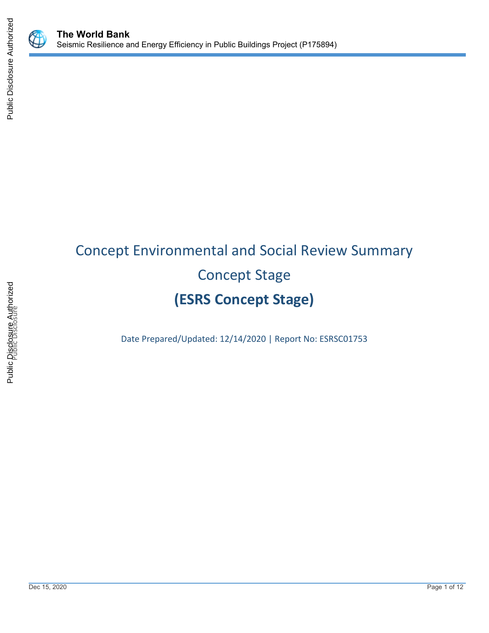

# Concept Environmental and Social Review Summary Concept Stage **(ESRS Concept Stage)**

Date Prepared/Updated: 12/14/2020 | Report No: ESRSC01753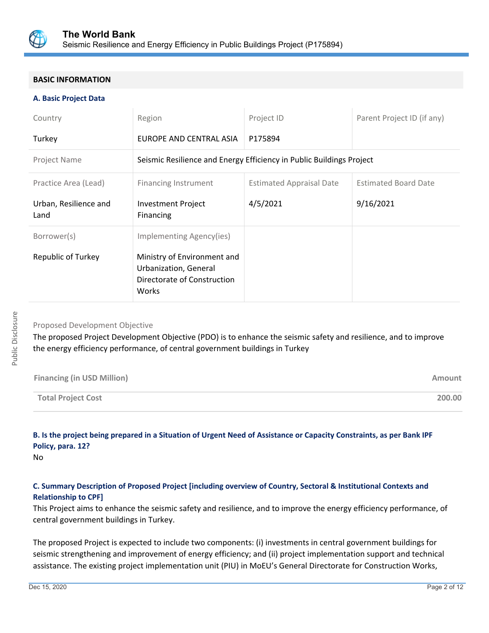

# **BASIC INFORMATION**

#### **A. Basic Project Data**

| Country                       | Region                                                                                       | Project ID                      | Parent Project ID (if any)  |
|-------------------------------|----------------------------------------------------------------------------------------------|---------------------------------|-----------------------------|
| Turkey                        | EUROPE AND CENTRAL ASIA                                                                      | P175894                         |                             |
| Project Name                  | Seismic Resilience and Energy Efficiency in Public Buildings Project                         |                                 |                             |
| Practice Area (Lead)          | <b>Financing Instrument</b>                                                                  | <b>Estimated Appraisal Date</b> | <b>Estimated Board Date</b> |
| Urban, Resilience and<br>Land | <b>Investment Project</b><br>Financing                                                       | 4/5/2021                        | 9/16/2021                   |
| Borrower(s)                   | Implementing Agency(ies)                                                                     |                                 |                             |
| <b>Republic of Turkey</b>     | Ministry of Environment and<br>Urbanization, General<br>Directorate of Construction<br>Works |                                 |                             |

# Proposed Development Objective

The proposed Project Development Objective (PDO) is to enhance the seismic safety and resilience, and to improve the energy efficiency performance, of central government buildings in Turkey

| <b>Financing (in USD Million)</b> | Amount |
|-----------------------------------|--------|
| <b>Total Project Cost</b>         | 200.00 |

# **B. Is the project being prepared in a Situation of Urgent Need of Assistance or Capacity Constraints, as per Bank IPF Policy, para. 12?**

No

# **C. Summary Description of Proposed Project [including overview of Country, Sectoral & Institutional Contexts and Relationship to CPF]**

This Project aims to enhance the seismic safety and resilience, and to improve the energy efficiency performance, of central government buildings in Turkey.

The proposed Project is expected to include two components: (i) investments in central government buildings for seismic strengthening and improvement of energy efficiency; and (ii) project implementation support and technical assistance. The existing project implementation unit (PIU) in MoEU's General Directorate for Construction Works,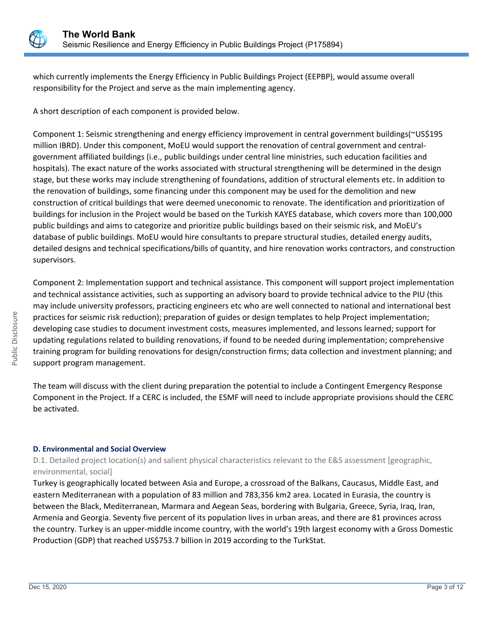

which currently implements the Energy Efficiency in Public Buildings Project (EEPBP), would assume overall responsibility for the Project and serve as the main implementing agency.

A short description of each component is provided below.

Component 1: Seismic strengthening and energy efficiency improvement in central government buildings(~US\$195 million IBRD). Under this component, MoEU would support the renovation of central government and centralgovernment affiliated buildings (i.e., public buildings under central line ministries, such education facilities and hospitals). The exact nature of the works associated with structural strengthening will be determined in the design stage, but these works may include strengthening of foundations, addition of structural elements etc. In addition to the renovation of buildings, some financing under this component may be used for the demolition and new construction of critical buildings that were deemed uneconomic to renovate. The identification and prioritization of buildings for inclusion in the Project would be based on the Turkish KAYES database, which covers more than 100,000 public buildings and aims to categorize and prioritize public buildings based on their seismic risk, and MoEU's database of public buildings. MoEU would hire consultants to prepare structural studies, detailed energy audits, detailed designs and technical specifications/bills of quantity, and hire renovation works contractors, and construction supervisors.

Component 2: Implementation support and technical assistance. This component will support project implementation and technical assistance activities, such as supporting an advisory board to provide technical advice to the PIU (this may include university professors, practicing engineers etc who are well connected to national and international best practices for seismic risk reduction); preparation of guides or design templates to help Project implementation; developing case studies to document investment costs, measures implemented, and lessons learned; support for updating regulations related to building renovations, if found to be needed during implementation; comprehensive training program for building renovations for design/construction firms; data collection and investment planning; and support program management.

The team will discuss with the client during preparation the potential to include a Contingent Emergency Response Component in the Project. If a CERC is included, the ESMF will need to include appropriate provisions should the CERC be activated.

# **D. Environmental and Social Overview**

D.1. Detailed project location(s) and salient physical characteristics relevant to the E&S assessment [geographic, environmental, social]

Turkey is geographically located between Asia and Europe, a crossroad of the Balkans, Caucasus, Middle East, and eastern Mediterranean with a population of 83 million and 783,356 km2 area. Located in Eurasia, the country is between the Black, Mediterranean, Marmara and Aegean Seas, bordering with Bulgaria, Greece, Syria, Iraq, Iran, Armenia and Georgia. Seventy five percent of its population lives in urban areas, and there are 81 provinces across the country. Turkey is an upper-middle income country, with the world's 19th largest economy with a Gross Domestic Production (GDP) that reached US\$753.7 billion in 2019 according to the TurkStat.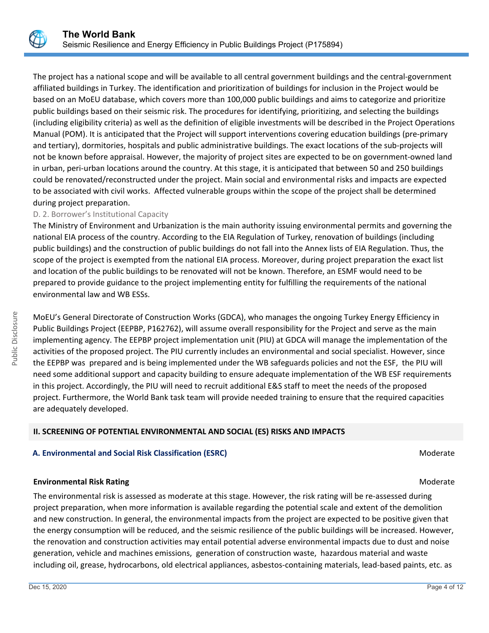The project has a national scope and will be available to all central government buildings and the central-government affiliated buildings in Turkey. The identification and prioritization of buildings for inclusion in the Project would be based on an MoEU database, which covers more than 100,000 public buildings and aims to categorize and prioritize public buildings based on their seismic risk. The procedures for identifying, prioritizing, and selecting the buildings (including eligibility criteria) as well as the definition of eligible investments will be described in the Project Operations Manual (POM). It is anticipated that the Project will support interventions covering education buildings (pre-primary and tertiary), dormitories, hospitals and public administrative buildings. The exact locations of the sub-projects will not be known before appraisal. However, the majority of project sites are expected to be on government-owned land in urban, peri-urban locations around the country. At this stage, it is anticipated that between 50 and 250 buildings could be renovated/reconstructed under the project. Main social and environmental risks and impacts are expected to be associated with civil works. Affected vulnerable groups within the scope of the project shall be determined during project preparation.

# D. 2. Borrower's Institutional Capacity

The Ministry of Environment and Urbanization is the main authority issuing environmental permits and governing the national EIA process of the country. According to the EIA Regulation of Turkey, renovation of buildings (including public buildings) and the construction of public buildings do not fall into the Annex lists of EIA Regulation. Thus, the scope of the project is exempted from the national EIA process. Moreover, during project preparation the exact list and location of the public buildings to be renovated will not be known. Therefore, an ESMF would need to be prepared to provide guidance to the project implementing entity for fulfilling the requirements of the national environmental law and WB ESSs.

MoEU's General Directorate of Construction Works (GDCA), who manages the ongoing Turkey Energy Efficiency in Public Buildings Project (EEPBP, P162762), will assume overall responsibility for the Project and serve as the main implementing agency. The EEPBP project implementation unit (PIU) at GDCA will manage the implementation of the activities of the proposed project. The PIU currently includes an environmental and social specialist. However, since the EEPBP was prepared and is being implemented under the WB safeguards policies and not the ESF, the PIU will need some additional support and capacity building to ensure adequate implementation of the WB ESF requirements in this project. Accordingly, the PIU will need to recruit additional E&S staff to meet the needs of the proposed project. Furthermore, the World Bank task team will provide needed training to ensure that the required capacities are adequately developed.

# **II. SCREENING OF POTENTIAL ENVIRONMENTAL AND SOCIAL (ES) RISKS AND IMPACTS**

# **A. Environmental and Social Risk Classification (ESRC) Moderate Social Analysis of Algebra** Moderate Moderate

# **Environmental Risk Rating Moderate School School School School School School School School School School School School School School School School School School School School School School School School School School Scho**

The environmental risk is assessed as moderate at this stage. However, the risk rating will be re-assessed during project preparation, when more information is available regarding the potential scale and extent of the demolition and new construction. In general, the environmental impacts from the project are expected to be positive given that the energy consumption will be reduced, and the seismic resilience of the public buildings will be increased. However, the renovation and construction activities may entail potential adverse environmental impacts due to dust and noise generation, vehicle and machines emissions, generation of construction waste, hazardous material and waste including oil, grease, hydrocarbons, old electrical appliances, asbestos-containing materials, lead-based paints, etc. as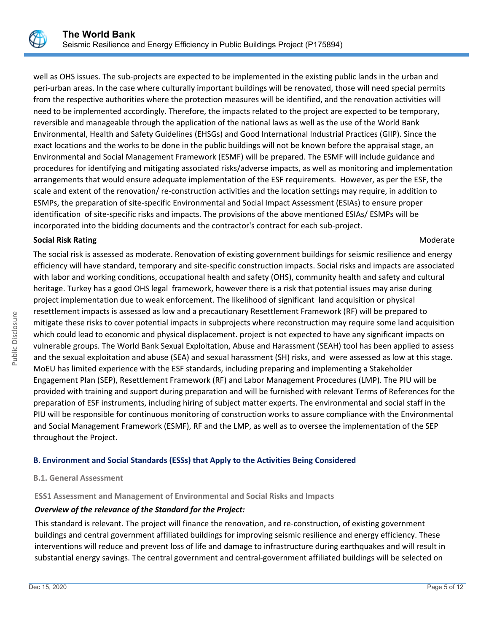well as OHS issues. The sub-projects are expected to be implemented in the existing public lands in the urban and peri-urban areas. In the case where culturally important buildings will be renovated, those will need special permits from the respective authorities where the protection measures will be identified, and the renovation activities will need to be implemented accordingly. Therefore, the impacts related to the project are expected to be temporary, reversible and manageable through the application of the national laws as well as the use of the World Bank Environmental, Health and Safety Guidelines (EHSGs) and Good International Industrial Practices (GIIP). Since the exact locations and the works to be done in the public buildings will not be known before the appraisal stage, an Environmental and Social Management Framework (ESMF) will be prepared. The ESMF will include guidance and procedures for identifying and mitigating associated risks/adverse impacts, as well as monitoring and implementation arrangements that would ensure adequate implementation of the ESF requirements. However, as per the ESF, the scale and extent of the renovation/ re-construction activities and the location settings may require, in addition to ESMPs, the preparation of site-specific Environmental and Social Impact Assessment (ESIAs) to ensure proper identification of site-specific risks and impacts. The provisions of the above mentioned ESIAs/ ESMPs will be incorporated into the bidding documents and the contractor's contract for each sub-project.

# **Social Risk Rating Moderate Social Risk Rating Moderate**  $M$

The social risk is assessed as moderate. Renovation of existing government buildings for seismic resilience and energy efficiency will have standard, temporary and site-specific construction impacts. Social risks and impacts are associated with labor and working conditions, occupational health and safety (OHS), community health and safety and cultural heritage. Turkey has a good OHS legal framework, however there is a risk that potential issues may arise during project implementation due to weak enforcement. The likelihood of significant land acquisition or physical resettlement impacts is assessed as low and a precautionary Resettlement Framework (RF) will be prepared to mitigate these risks to cover potential impacts in subprojects where reconstruction may require some land acquisition which could lead to economic and physical displacement. project is not expected to have any significant impacts on vulnerable groups. The World Bank Sexual Exploitation, Abuse and Harassment (SEAH) tool has been applied to assess and the sexual exploitation and abuse (SEA) and sexual harassment (SH) risks, and were assessed as low at this stage. MoEU has limited experience with the ESF standards, including preparing and implementing a Stakeholder Engagement Plan (SEP), Resettlement Framework (RF) and Labor Management Procedures (LMP). The PIU will be provided with training and support during preparation and will be furnished with relevant Terms of References for the preparation of ESF instruments, including hiring of subject matter experts. The environmental and social staff in the PIU will be responsible for continuous monitoring of construction works to assure compliance with the Environmental and Social Management Framework (ESMF), RF and the LMP, as well as to oversee the implementation of the SEP throughout the Project.

# **B. Environment and Social Standards (ESSs) that Apply to the Activities Being Considered**

# **B.1. General Assessment**

**ESS1 Assessment and Management of Environmental and Social Risks and Impacts**

# *Overview of the relevance of the Standard for the Project:*

This standard is relevant. The project will finance the renovation, and re-construction, of existing government buildings and central government affiliated buildings for improving seismic resilience and energy efficiency. These interventions will reduce and prevent loss of life and damage to infrastructure during earthquakes and will result in substantial energy savings. The central government and central-government affiliated buildings will be selected on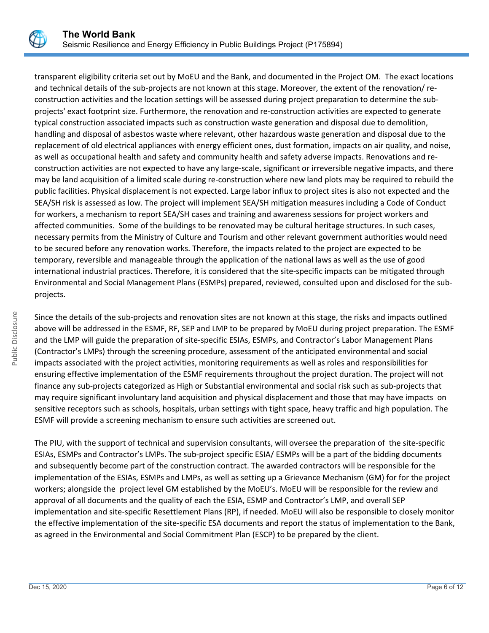

transparent eligibility criteria set out by MoEU and the Bank, and documented in the Project OM. The exact locations and technical details of the sub-projects are not known at this stage. Moreover, the extent of the renovation/ reconstruction activities and the location settings will be assessed during project preparation to determine the subprojects' exact footprint size. Furthermore, the renovation and re-construction activities are expected to generate typical construction associated impacts such as construction waste generation and disposal due to demolition, handling and disposal of asbestos waste where relevant, other hazardous waste generation and disposal due to the replacement of old electrical appliances with energy efficient ones, dust formation, impacts on air quality, and noise, as well as occupational health and safety and community health and safety adverse impacts. Renovations and reconstruction activities are not expected to have any large-scale, significant or irreversible negative impacts, and there may be land acquisition of a limited scale during re-construction where new land plots may be required to rebuild the public facilities. Physical displacement is not expected. Large labor influx to project sites is also not expected and the SEA/SH risk is assessed as low. The project will implement SEA/SH mitigation measures including a Code of Conduct for workers, a mechanism to report SEA/SH cases and training and awareness sessions for project workers and affected communities. Some of the buildings to be renovated may be cultural heritage structures. In such cases, necessary permits from the Ministry of Culture and Tourism and other relevant government authorities would need to be secured before any renovation works. Therefore, the impacts related to the project are expected to be temporary, reversible and manageable through the application of the national laws as well as the use of good international industrial practices. Therefore, it is considered that the site-specific impacts can be mitigated through Environmental and Social Management Plans (ESMPs) prepared, reviewed, consulted upon and disclosed for the subprojects.

Since the details of the sub-projects and renovation sites are not known at this stage, the risks and impacts outlined above will be addressed in the ESMF, RF, SEP and LMP to be prepared by MoEU during project preparation. The ESMF and the LMP will guide the preparation of site-specific ESIAs, ESMPs, and Contractor's Labor Management Plans (Contractor's LMPs) through the screening procedure, assessment of the anticipated environmental and social impacts associated with the project activities, monitoring requirements as well as roles and responsibilities for ensuring effective implementation of the ESMF requirements throughout the project duration. The project will not finance any sub-projects categorized as High or Substantial environmental and social risk such as sub-projects that may require significant involuntary land acquisition and physical displacement and those that may have impacts on sensitive receptors such as schools, hospitals, urban settings with tight space, heavy traffic and high population. The ESMF will provide a screening mechanism to ensure such activities are screened out.

The PIU, with the support of technical and supervision consultants, will oversee the preparation of the site-specific ESIAs, ESMPs and Contractor's LMPs. The sub-project specific ESIA/ ESMPs will be a part of the bidding documents and subsequently become part of the construction contract. The awarded contractors will be responsible for the implementation of the ESIAs, ESMPs and LMPs, as well as setting up a Grievance Mechanism (GM) for for the project workers; alongside the project level GM established by the MoEU's. MoEU will be responsible for the review and approval of all documents and the quality of each the ESIA, ESMP and Contractor's LMP, and overall SEP implementation and site-specific Resettlement Plans (RP), if needed. MoEU will also be responsible to closely monitor the effective implementation of the site-specific ESA documents and report the status of implementation to the Bank, as agreed in the Environmental and Social Commitment Plan (ESCP) to be prepared by the client.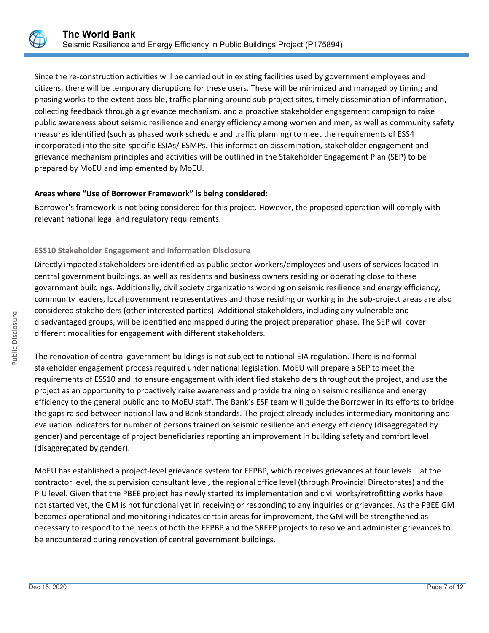

Since the re-construction activities will be carried out in existing facilities used by government employees and citizens, there will be temporary disruptions for these users. These will be minimized and managed by timing and phasing works to the extent possible, traffic planning around sub-project sites, timely dissemination of information, collecting feedback through a grievance mechanism, and a proactive stakeholder engagement campaign to raise public awareness about seismic resilience and energy efficiency among women and men, as well as community safety measures identified (such as phased work schedule and traffic planning) to meet the requirements of ESS4 incorporated into the site-specific ESIAs/ ESMPs. This information dissemination, stakeholder engagement and grievance mechanism principles and activities will be outlined in the Stakeholder Engagement Plan (SEP) to be prepared by MoEU and implemented by MoEU.

# **Areas where "Use of Borrower Framework" is being considered:**

Borrower's framework is not being considered for this project. However, the proposed operation will comply with relevant national legal and regulatory requirements.

# **ESS10 Stakeholder Engagement and Information Disclosure**

Directly impacted stakeholders are identified as public sector workers/employees and users of services located in central government buildings, as well as residents and business owners residing or operating close to these government buildings. Additionally, civil society organizations working on seismic resilience and energy efficiency, community leaders, local government representatives and those residing or working in the sub-project areas are also considered stakeholders (other interested parties). Additional stakeholders, including any vulnerable and disadvantaged groups, will be identified and mapped during the project preparation phase. The SEP will cover different modalities for engagement with different stakeholders.

The renovation of central government buildings is not subject to national EIA regulation. There is no formal stakeholder engagement process required under national legislation. MoEU will prepare a SEP to meet the requirements of ESS10 and to ensure engagement with identified stakeholders throughout the project, and use the project as an opportunity to proactively raise awareness and provide training on seismic resilience and energy efficiency to the general public and to MoEU staff. The Bank's ESF team will guide the Borrower in its efforts to bridge the gaps raised between national law and Bank standards. The project already includes intermediary monitoring and evaluation indicators for number of persons trained on seismic resilience and energy efficiency (disaggregated by gender) and percentage of project beneficiaries reporting an improvement in building safety and comfort level (disaggregated by gender).

MoEU has established a project-level grievance system for EEPBP, which receives grievances at four levels – at the contractor level, the supervision consultant level, the regional office level (through Provincial Directorates) and the PIU level. Given that the PBEE project has newly started its implementation and civil works/retrofitting works have not started yet, the GM is not functional yet in receiving or responding to any inquiries or grievances. As the PBEE GM becomes operational and monitoring indicates certain areas for improvement, the GM will be strengthened as necessary to respond to the needs of both the EEPBP and the SREEP projects to resolve and administer grievances to be encountered during renovation of central government buildings.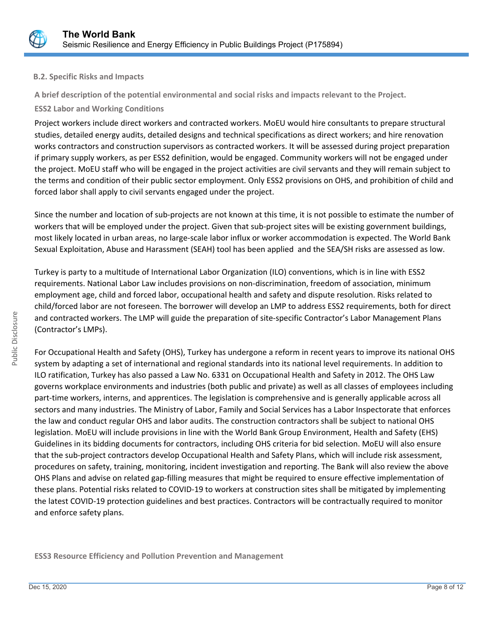

# **B.2. Specific Risks and Impacts**

**A brief description of the potential environmental and social risks and impacts relevant to the Project.**

# **ESS2 Labor and Working Conditions**

Project workers include direct workers and contracted workers. MoEU would hire consultants to prepare structural studies, detailed energy audits, detailed designs and technical specifications as direct workers; and hire renovation works contractors and construction supervisors as contracted workers. It will be assessed during project preparation if primary supply workers, as per ESS2 definition, would be engaged. Community workers will not be engaged under the project. MoEU staff who will be engaged in the project activities are civil servants and they will remain subject to the terms and condition of their public sector employment. Only ESS2 provisions on OHS, and prohibition of child and forced labor shall apply to civil servants engaged under the project.

Since the number and location of sub-projects are not known at this time, it is not possible to estimate the number of workers that will be employed under the project. Given that sub-project sites will be existing government buildings, most likely located in urban areas, no large-scale labor influx or worker accommodation is expected. The World Bank Sexual Exploitation, Abuse and Harassment (SEAH) tool has been applied and the SEA/SH risks are assessed as low.

Turkey is party to a multitude of International Labor Organization (ILO) conventions, which is in line with ESS2 requirements. National Labor Law includes provisions on non-discrimination, freedom of association, minimum employment age, child and forced labor, occupational health and safety and dispute resolution. Risks related to child/forced labor are not foreseen. The borrower will develop an LMP to address ESS2 requirements, both for direct and contracted workers. The LMP will guide the preparation of site-specific Contractor's Labor Management Plans (Contractor's LMPs).

For Occupational Health and Safety (OHS), Turkey has undergone a reform in recent years to improve its national OHS system by adapting a set of international and regional standards into its national level requirements. In addition to ILO ratification, Turkey has also passed a Law No. 6331 on Occupational Health and Safety in 2012. The OHS Law governs workplace environments and industries (both public and private) as well as all classes of employees including part-time workers, interns, and apprentices. The legislation is comprehensive and is generally applicable across all sectors and many industries. The Ministry of Labor, Family and Social Services has a Labor Inspectorate that enforces the law and conduct regular OHS and labor audits. The construction contractors shall be subject to national OHS legislation. MoEU will include provisions in line with the World Bank Group Environment, Health and Safety (EHS) Guidelines in its bidding documents for contractors, including OHS criteria for bid selection. MoEU will also ensure that the sub-project contractors develop Occupational Health and Safety Plans, which will include risk assessment, procedures on safety, training, monitoring, incident investigation and reporting. The Bank will also review the above OHS Plans and advise on related gap-filling measures that might be required to ensure effective implementation of these plans. Potential risks related to COVID-19 to workers at construction sites shall be mitigated by implementing the latest COVID-19 protection guidelines and best practices. Contractors will be contractually required to monitor and enforce safety plans.

**ESS3 Resource Efficiency and Pollution Prevention and Management**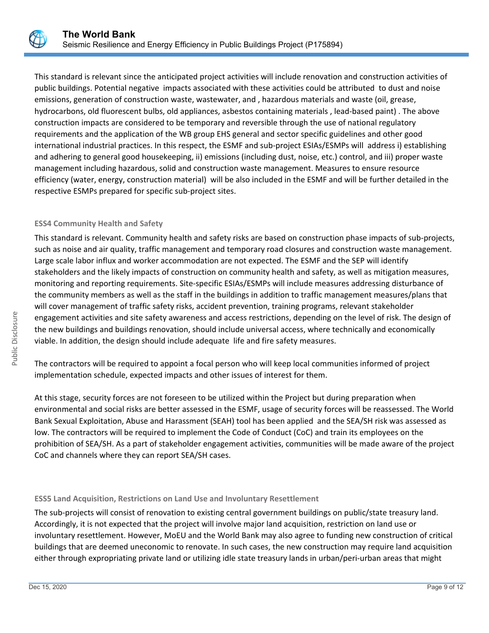

This standard is relevant since the anticipated project activities will include renovation and construction activities of public buildings. Potential negative impacts associated with these activities could be attributed to dust and noise emissions, generation of construction waste, wastewater, and , hazardous materials and waste (oil, grease, hydrocarbons, old fluorescent bulbs, old appliances, asbestos containing materials , lead-based paint) . The above construction impacts are considered to be temporary and reversible through the use of national regulatory requirements and the application of the WB group EHS general and sector specific guidelines and other good international industrial practices. In this respect, the ESMF and sub-project ESIAs/ESMPs will address i) establishing and adhering to general good housekeeping, ii) emissions (including dust, noise, etc.) control, and iii) proper waste management including hazardous, solid and construction waste management. Measures to ensure resource efficiency (water, energy, construction material) will be also included in the ESMF and will be further detailed in the respective ESMPs prepared for specific sub-project sites.

# **ESS4 Community Health and Safety**

This standard is relevant. Community health and safety risks are based on construction phase impacts of sub-projects, such as noise and air quality, traffic management and temporary road closures and construction waste management. Large scale labor influx and worker accommodation are not expected. The ESMF and the SEP will identify stakeholders and the likely impacts of construction on community health and safety, as well as mitigation measures, monitoring and reporting requirements. Site-specific ESIAs/ESMPs will include measures addressing disturbance of the community members as well as the staff in the buildings in addition to traffic management measures/plans that will cover management of traffic safety risks, accident prevention, training programs, relevant stakeholder engagement activities and site safety awareness and access restrictions, depending on the level of risk. The design of the new buildings and buildings renovation, should include universal access, where technically and economically viable. In addition, the design should include adequate life and fire safety measures.

The contractors will be required to appoint a focal person who will keep local communities informed of project implementation schedule, expected impacts and other issues of interest for them.

At this stage, security forces are not foreseen to be utilized within the Project but during preparation when environmental and social risks are better assessed in the ESMF, usage of security forces will be reassessed. The World Bank Sexual Exploitation, Abuse and Harassment (SEAH) tool has been applied and the SEA/SH risk was assessed as low. The contractors will be required to implement the Code of Conduct (CoC) and train its employees on the prohibition of SEA/SH. As a part of stakeholder engagement activities, communities will be made aware of the project CoC and channels where they can report SEA/SH cases.

# **ESS5 Land Acquisition, Restrictions on Land Use and Involuntary Resettlement**

The sub-projects will consist of renovation to existing central government buildings on public/state treasury land. Accordingly, it is not expected that the project will involve major land acquisition, restriction on land use or involuntary resettlement. However, MoEU and the World Bank may also agree to funding new construction of critical buildings that are deemed uneconomic to renovate. In such cases, the new construction may require land acquisition either through expropriating private land or utilizing idle state treasury lands in urban/peri-urban areas that might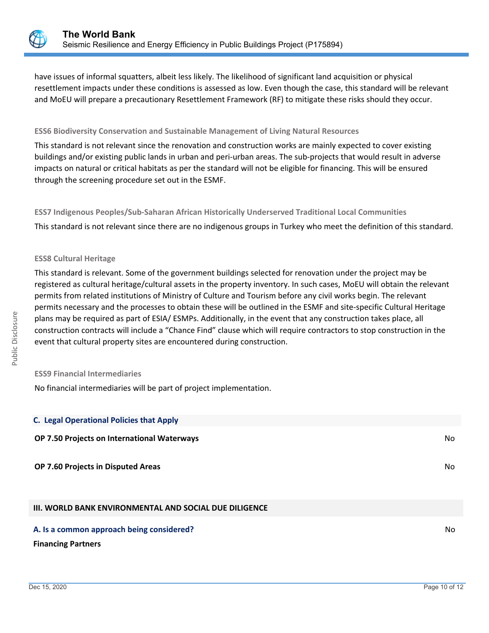

have issues of informal squatters, albeit less likely. The likelihood of significant land acquisition or physical resettlement impacts under these conditions is assessed as low. Even though the case, this standard will be relevant and MoEU will prepare a precautionary Resettlement Framework (RF) to mitigate these risks should they occur.

## **ESS6 Biodiversity Conservation and Sustainable Management of Living Natural Resources**

This standard is not relevant since the renovation and construction works are mainly expected to cover existing buildings and/or existing public lands in urban and peri-urban areas. The sub-projects that would result in adverse impacts on natural or critical habitats as per the standard will not be eligible for financing. This will be ensured through the screening procedure set out in the ESMF.

**ESS7 Indigenous Peoples/Sub-Saharan African Historically Underserved Traditional Local Communities** This standard is not relevant since there are no indigenous groups in Turkey who meet the definition of this standard.

#### **ESS8 Cultural Heritage**

This standard is relevant. Some of the government buildings selected for renovation under the project may be registered as cultural heritage/cultural assets in the property inventory. In such cases, MoEU will obtain the relevant permits from related institutions of Ministry of Culture and Tourism before any civil works begin. The relevant permits necessary and the processes to obtain these will be outlined in the ESMF and site-specific Cultural Heritage plans may be required as part of ESIA/ ESMPs. Additionally, in the event that any construction takes place, all construction contracts will include a "Chance Find" clause which will require contractors to stop construction in the event that cultural property sites are encountered during construction.

#### **ESS9 Financial Intermediaries**

No financial intermediaries will be part of project implementation.

| <b>C. Legal Operational Policies that Apply</b> |    |
|-------------------------------------------------|----|
| OP 7.50 Projects on International Waterways     | No |
| OP 7.60 Projects in Disputed Areas              | No |
|                                                 |    |

# **III. WORLD BANK ENVIRONMENTAL AND SOCIAL DUE DILIGENCE**

#### **A. Is a common approach being considered?** No **No. 2016** No. 2016 No. 2017 No. 2018 No. 2018 No. 2019 No. 2019 No

#### **Financing Partners**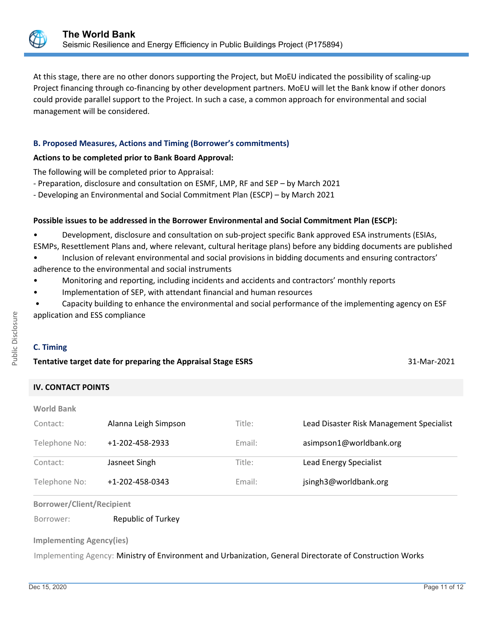

At this stage, there are no other donors supporting the Project, but MoEU indicated the possibility of scaling-up Project financing through co-financing by other development partners. MoEU will let the Bank know if other donors could provide parallel support to the Project. In such a case, a common approach for environmental and social management will be considered.

# **B. Proposed Measures, Actions and Timing (Borrower's commitments)**

# **Actions to be completed prior to Bank Board Approval:**

The following will be completed prior to Appraisal:

- Preparation, disclosure and consultation on ESMF, LMP, RF and SEP – by March 2021

- Developing an Environmental and Social Commitment Plan (ESCP) – by March 2021

# **Possible issues to be addressed in the Borrower Environmental and Social Commitment Plan (ESCP):**

• Development, disclosure and consultation on sub-project specific Bank approved ESA instruments (ESIAs, ESMPs, Resettlement Plans and, where relevant, cultural heritage plans) before any bidding documents are published

- Inclusion of relevant environmental and social provisions in bidding documents and ensuring contractors' adherence to the environmental and social instruments
- Monitoring and reporting, including incidents and accidents and contractors' monthly reports
- Implementation of SEP, with attendant financial and human resources
- Capacity building to enhance the environmental and social performance of the implementing agency on ESF application and ESS compliance

# **C. Timing**

# **Tentative target date for preparing the Appraisal Stage ESRS** 31-Mar-2021

# **IV. CONTACT POINTS**

| <b>World Bank</b> |                      |        |                                          |
|-------------------|----------------------|--------|------------------------------------------|
| Contact:          | Alanna Leigh Simpson | Title: | Lead Disaster Risk Management Specialist |
| Telephone No:     | +1-202-458-2933      | Email: | asimpson1@worldbank.org                  |
| Contact:          | Jasneet Singh        | Title: | <b>Lead Energy Specialist</b>            |
| Telephone No:     | +1-202-458-0343      | Email: | jsingh3@worldbank.org                    |

#### **Borrower/Client/Recipient**

Borrower: Republic of Turkey

#### **Implementing Agency(ies)**

Implementing Agency: Ministry of Environment and Urbanization, General Directorate of Construction Works